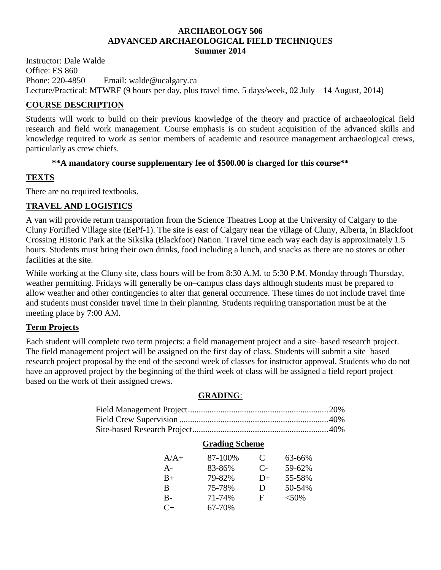#### **ARCHAEOLOGY 506 ADVANCED ARCHAEOLOGICAL FIELD TECHNIQUES Summer 2014**

Instructor: Dale Walde Office: ES 860 Phone: 220-4850 Email: walde@ucalgary.ca Lecture/Practical: MTWRF (9 hours per day, plus travel time, 5 days/week, 02 July—14 August, 2014)

## **COURSE DESCRIPTION**

Students will work to build on their previous knowledge of the theory and practice of archaeological field research and field work management. Course emphasis is on student acquisition of the advanced skills and knowledge required to work as senior members of academic and resource management archaeological crews, particularly as crew chiefs.

## **\*\*A mandatory course supplementary fee of \$500.00 is charged for this course\*\***

## **TEXTS**

There are no required textbooks.

## **TRAVEL AND LOGISTICS**

A van will provide return transportation from the Science Theatres Loop at the University of Calgary to the Cluny Fortified Village site (EePf-1). The site is east of Calgary near the village of Cluny, Alberta, in Blackfoot Crossing Historic Park at the Siksika (Blackfoot) Nation. Travel time each way each day is approximately 1.5 hours. Students must bring their own drinks, food including a lunch, and snacks as there are no stores or other facilities at the site.

While working at the Cluny site, class hours will be from 8:30 A.M. to 5:30 P.M. Monday through Thursday, weather permitting. Fridays will generally be on–campus class days although students must be prepared to allow weather and other contingencies to alter that general occurrence. These times do not include travel time and students must consider travel time in their planning. Students requiring transportation must be at the meeting place by 7:00 AM.

## **Term Projects**

Each student will complete two term projects: a field management project and a site–based research project. The field management project will be assigned on the first day of class. Students will submit a site–based research project proposal by the end of the second week of classes for instructor approval. Students who do not have an approved project by the beginning of the third week of class will be assigned a field report project based on the work of their assigned crews.

## **GRADING**:

| <b>Grading Scheme</b> |         |      |            |  |
|-----------------------|---------|------|------------|--|
| $A/A+$                | 87-100% | C    | $63 - 66%$ |  |
| $A -$                 | 83-86%  | $C-$ | 59-62%     |  |
| $B+$                  | 79-82%  | $D+$ | 55-58%     |  |
| B                     | 75-78%  | Ð    | 50-54%     |  |
| $B -$                 | 71-74%  | F    | $< 50\%$   |  |
| $C_{+}$               | 67-70%  |      |            |  |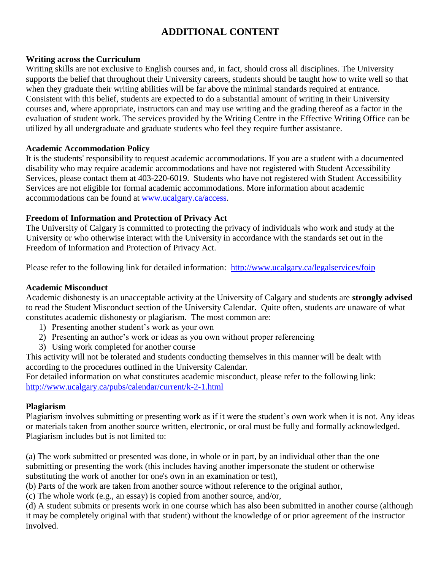# **ADDITIONAL CONTENT**

### **Writing across the Curriculum**

Writing skills are not exclusive to English courses and, in fact, should cross all disciplines. The University supports the belief that throughout their University careers, students should be taught how to write well so that when they graduate their writing abilities will be far above the minimal standards required at entrance. Consistent with this belief, students are expected to do a substantial amount of writing in their University courses and, where appropriate, instructors can and may use writing and the grading thereof as a factor in the evaluation of student work. The services provided by the Writing Centre in the Effective Writing Office can be utilized by all undergraduate and graduate students who feel they require further assistance.

### **Academic Accommodation Policy**

It is the students' responsibility to request academic accommodations. If you are a student with a documented disability who may require academic accommodations and have not registered with Student Accessibility Services, please contact them at 403-220-6019. Students who have not registered with Student Accessibility Services are not eligible for formal academic accommodations. More information about academic accommodations can be found at [www.ucalgary.ca/access.](http://www.ucalgary.ca/access)

### **Freedom of Information and Protection of Privacy Act**

The University of Calgary is committed to protecting the privacy of individuals who work and study at the University or who otherwise interact with the University in accordance with the standards set out in the Freedom of Information and Protection of Privacy Act.

Please refer to the following link for detailed information: <http://www.ucalgary.ca/legalservices/foip>

#### **Academic Misconduct**

Academic dishonesty is an unacceptable activity at the University of Calgary and students are **strongly advised** to read the Student Misconduct section of the University Calendar. Quite often, students are unaware of what constitutes academic dishonesty or plagiarism. The most common are:

- 1) Presenting another student's work as your own
- 2) Presenting an author's work or ideas as you own without proper referencing
- 3) Using work completed for another course

This activity will not be tolerated and students conducting themselves in this manner will be dealt with according to the procedures outlined in the University Calendar.

For detailed information on what constitutes academic misconduct, please refer to the following link: <http://www.ucalgary.ca/pubs/calendar/current/k-2-1.html>

#### **Plagiarism**

Plagiarism involves submitting or presenting work as if it were the student's own work when it is not. Any ideas or materials taken from another source written, electronic, or oral must be fully and formally acknowledged. Plagiarism includes but is not limited to:

(a) The work submitted or presented was done, in whole or in part, by an individual other than the one submitting or presenting the work (this includes having another impersonate the student or otherwise substituting the work of another for one's own in an examination or test),

(b) Parts of the work are taken from another source without reference to the original author,

(c) The whole work (e.g., an essay) is copied from another source, and/or,

(d) A student submits or presents work in one course which has also been submitted in another course (although it may be completely original with that student) without the knowledge of or prior agreement of the instructor involved.